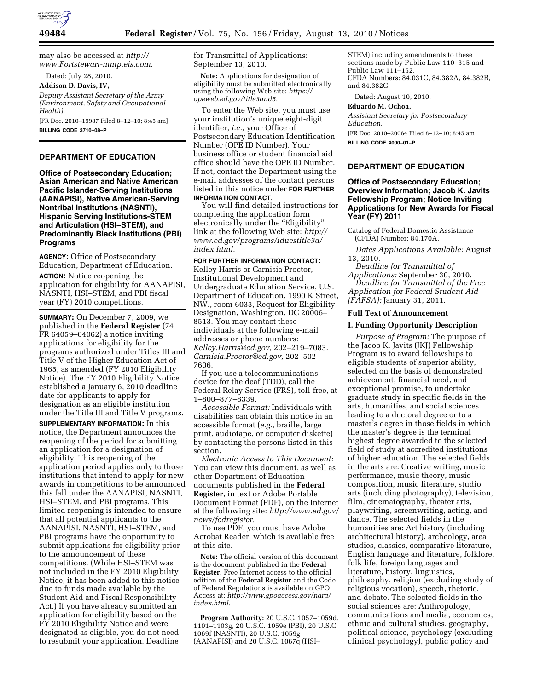

may also be accessed at *[http://](http://www.Fortstewart-mmp.eis.com)  [www.Fortstewart-mmp.eis.com](http://www.Fortstewart-mmp.eis.com)*.

Dated: July 28, 2010.

**Addison D. Davis, IV,** 

*Deputy Assistant Secretary of the Army (Environment, Safety and Occupational Health).* 

[FR Doc. 2010–19987 Filed 8–12–10; 8:45 am] **BILLING CODE 3710–08–P** 

# **DEPARTMENT OF EDUCATION**

**Office of Postsecondary Education; Asian American and Native American Pacific Islander-Serving Institutions (AANAPISI), Native American-Serving Nontribal Institutions (NASNTI), Hispanic Serving Institutions-STEM and Articulation (HSI–STEM), and Predominantly Black Institutions (PBI) Programs** 

**AGENCY:** Office of Postsecondary Education, Department of Education.

**ACTION:** Notice reopening the application for eligibility for AANAPISI, NASNTI, HSI–STEM, and PBI fiscal year (FY) 2010 competitions.

**SUMMARY:** On December 7, 2009, we published in the **Federal Register** (74 FR 64059–64062) a notice inviting applications for eligibility for the programs authorized under Titles III and Title V of the Higher Education Act of 1965, as amended (FY 2010 Eligibility Notice). The FY 2010 Eligibility Notice established a January 6, 2010 deadline date for applicants to apply for designation as an eligible institution under the Title III and Title V programs.

**SUPPLEMENTARY INFORMATION:** In this notice, the Department announces the reopening of the period for submitting an application for a designation of eligibility. This reopening of the application period applies only to those institutions that intend to apply for new awards in competitions to be announced this fall under the AANAPISI, NASNTI, HSI–STEM, and PBI programs. This limited reopening is intended to ensure that all potential applicants to the AANAPISI, NASNTI, HSI–STEM, and PBI programs have the opportunity to submit applications for eligibility prior to the announcement of these competitions. (While HSI–STEM was not included in the FY 2010 Eligibility Notice, it has been added to this notice due to funds made available by the Student Aid and Fiscal Responsibility Act.) If you have already submitted an application for eligibility based on the FY 2010 Eligibility Notice and were designated as eligible, you do not need to resubmit your application. Deadline

for Transmittal of Applications: September 13, 2010.

**Note:** Applications for designation of eligibility must be submitted electronically using the following Web site: *[https://](https://opeweb.ed.gov/title3and5) [opeweb.ed.gov/title3and5.](https://opeweb.ed.gov/title3and5)* 

To enter the Web site, you must use your institution's unique eight-digit identifier, *i.e.,* your Office of Postsecondary Education Identification Number (OPE ID Number). Your business office or student financial aid office should have the OPE ID Number. If not, contact the Department using the e-mail addresses of the contact persons listed in this notice under **FOR FURTHER INFORMATION CONTACT**.

You will find detailed instructions for completing the application form electronically under the "Eligibility" link at the following Web site: *[http://](http://www.ed.gov/programs/iduestitle3a/index.html) [www.ed.gov/programs/iduestitle3a/](http://www.ed.gov/programs/iduestitle3a/index.html)  [index.html.](http://www.ed.gov/programs/iduestitle3a/index.html)* 

### **FOR FURTHER INFORMATION CONTACT:**

Kelley Harris or Carnisia Proctor, Institutional Development and Undergraduate Education Service, U.S. Department of Education, 1990 K Street, NW., room 6033, Request for Eligibility Designation, Washington, DC 20006– 8513. You may contact these individuals at the following e-mail addresses or phone numbers: *[Kelley.Harris@ed.gov,](mailto:Kelley.Harris@ed.gov)* 202–219–7083. *[Carnisia.Proctor@ed.gov,](mailto:Carnisia.Proctor@ed.gov)* 202–502– 7606.

If you use a telecommunications device for the deaf (TDD), call the Federal Relay Service (FRS), toll-free, at 1–800–877–8339.

*Accessible Format:* Individuals with disabilities can obtain this notice in an accessible format (*e.g.,* braille, large print, audiotape, or computer diskette) by contacting the persons listed in this section.

*Electronic Access to This Document:*  You can view this document, as well as other Department of Education documents published in the **Federal Register**, in text or Adobe Portable Document Format (PDF), on the Internet at the following site: *[http://www.ed.gov/](http://www.ed.gov/news/fedregister) [news/fedregister.](http://www.ed.gov/news/fedregister)* 

To use PDF, you must have Adobe Acrobat Reader, which is available free at this site.

**Note:** The official version of this document is the document published in the **Federal Register**. Free Internet access to the official edition of the **Federal Register** and the Code of Federal Regulations is available on GPO Access at: *[http://www.gpoaccess.gov/nara/](http://www.gpoaccess.gov/nara/index.html) [index.html.](http://www.gpoaccess.gov/nara/index.html)* 

**Program Authority:** 20 U.S.C. 1057–1059d, 1101–1103g, 20 U.S.C. 1059e (PBI), 20 U.S.C. 1069f (NASNTI), 20 U.S.C. 1059g (AANAPISI) and 20 U.S.C. 1067q (HSI–

STEM) including amendments to these sections made by Public Law 110–315 and Public Law 111–152. CFDA Numbers: 84.031C, 84.382A, 84.382B, and 84.382C

Dated: August 10, 2010.

#### **Eduardo M. Ochoa,**

*Assistant Secretary for Postsecondary Education.*  [FR Doc. 2010–20064 Filed 8–12–10; 8:45 am]

**BILLING CODE 4000–01–P** 

## **DEPARTMENT OF EDUCATION**

## **Office of Postsecondary Education; Overview Information; Jacob K. Javits Fellowship Program; Notice Inviting Applications for New Awards for Fiscal Year (FY) 2011**

Catalog of Federal Domestic Assistance (CFDA) Number: 84.170A.

*Dates Applications Available:* August 13, 2010.

*Deadline for Transmittal of Applications:* September 30, 2010. *Deadline for Transmittal of the Free Application for Federal Student Aid* 

*(FAFSA):* January 31, 2011.

# **Full Text of Announcement**

#### **I. Funding Opportunity Description**

*Purpose of Program:* The purpose of the Jacob K. Javits (JKJ) Fellowship Program is to award fellowships to eligible students of superior ability, selected on the basis of demonstrated achievement, financial need, and exceptional promise, to undertake graduate study in specific fields in the arts, humanities, and social sciences leading to a doctoral degree or to a master's degree in those fields in which the master's degree is the terminal highest degree awarded to the selected field of study at accredited institutions of higher education. The selected fields in the arts are: Creative writing, music performance, music theory, music composition, music literature, studio arts (including photography), television, film, cinematography, theater arts, playwriting, screenwriting, acting, and dance. The selected fields in the humanities are: Art history (including architectural history), archeology, area studies, classics, comparative literature, English language and literature, folklore, folk life, foreign languages and literature, history, linguistics, philosophy, religion (excluding study of religious vocation), speech, rhetoric, and debate. The selected fields in the social sciences are: Anthropology, communications and media, economics, ethnic and cultural studies, geography, political science, psychology (excluding clinical psychology), public policy and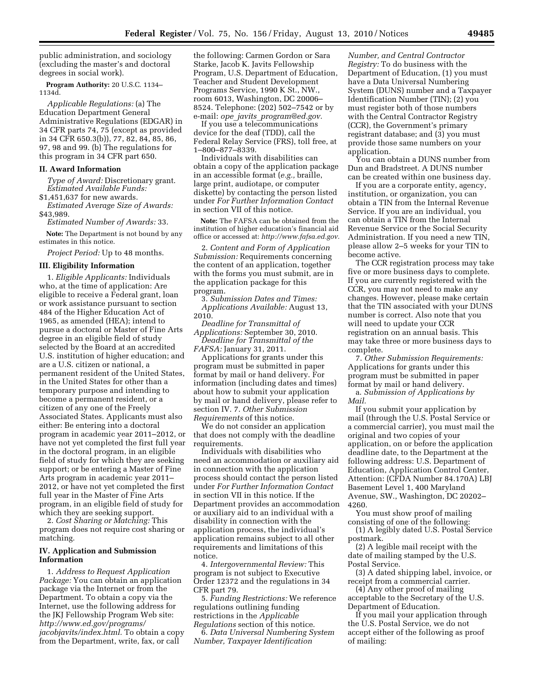public administration, and sociology (excluding the master's and doctoral degrees in social work).

**Program Authority:** 20 U.S.C. 1134– 1134d.

*Applicable Regulations:* (a) The Education Department General Administrative Regulations (EDGAR) in 34 CFR parts 74, 75 (except as provided in 34 CFR 650.3(b)), 77, 82, 84, 85, 86, 97, 98 and 99. (b) The regulations for this program in 34 CFR part 650.

#### **II. Award Information**

*Type of Award:* Discretionary grant. *Estimated Available Funds:* 

\$1,451,637 for new awards. *Estimated Average Size of Awards:*  \$43,989.

*Estimated Number of Awards:* 33.

**Note:** The Department is not bound by any estimates in this notice.

*Project Period:* Up to 48 months.

#### **III. Eligibility Information**

1. *Eligible Applicants:* Individuals who, at the time of application: Are eligible to receive a Federal grant, loan or work assistance pursuant to section 484 of the Higher Education Act of 1965, as amended (HEA); intend to pursue a doctoral or Master of Fine Arts degree in an eligible field of study selected by the Board at an accredited U.S. institution of higher education; and are a U.S. citizen or national, a permanent resident of the United States, in the United States for other than a temporary purpose and intending to become a permanent resident, or a citizen of any one of the Freely Associated States. Applicants must also either: Be entering into a doctoral program in academic year 2011–2012, or have not yet completed the first full year in the doctoral program, in an eligible field of study for which they are seeking support; or be entering a Master of Fine Arts program in academic year 2011– 2012, or have not yet completed the first full year in the Master of Fine Arts program, in an eligible field of study for which they are seeking support.

2. *Cost Sharing or Matching:* This program does not require cost sharing or matching.

### **IV. Application and Submission Information**

1. *Address to Request Application Package:* You can obtain an application package via the Internet or from the Department. To obtain a copy via the Internet, use the following address for the JKJ Fellowship Program Web site: *[http://www.ed.gov/programs/](http://www.ed.gov/programs/jacobjavits/index.html) [jacobjavits/index.html.](http://www.ed.gov/programs/jacobjavits/index.html)* To obtain a copy from the Department, write, fax, or call

the following: Carmen Gordon or Sara Starke, Jacob K. Javits Fellowship Program, U.S. Department of Education, Teacher and Student Development Programs Service, 1990 K St., NW., room 6013, Washington, DC 20006– 8524. Telephone: (202) 502–7542 or by e-mail: *ope*\_*javits*\_*[program@ed.gov.](mailto:ope_javits_program@ed.gov)* 

If you use a telecommunications device for the deaf (TDD), call the Federal Relay Service (FRS), toll free, at 1–800–877–8339.

Individuals with disabilities can obtain a copy of the application package in an accessible format (*e.g.,* braille, large print, audiotape, or computer diskette) by contacting the person listed under *For Further Information Contact*  in section VII of this notice.

**Note:** The FAFSA can be obtained from the institution of higher education's financial aid office or accessed at: *[http://www.fafsa.ed.gov.](http://www.fafsa.ed.gov)* 

2. *Content and Form of Application Submission:* Requirements concerning the content of an application, together with the forms you must submit, are in the application package for this program.

3. *Submission Dates and Times: Applications Available:* August 13, 2010.

*Deadline for Transmittal of Applications:* September 30, 2010. *Deadline for Transmittal of the* 

*FAFSA:* January 31, 2011.

Applications for grants under this program must be submitted in paper format by mail or hand delivery. For information (including dates and times) about how to submit your application by mail or hand delivery, please refer to section IV. 7. *Other Submission Requirements* of this notice.

We do not consider an application that does not comply with the deadline requirements.

Individuals with disabilities who need an accommodation or auxiliary aid in connection with the application process should contact the person listed under *For Further Information Contact*  in section VII in this notice. If the Department provides an accommodation or auxiliary aid to an individual with a disability in connection with the application process, the individual's application remains subject to all other requirements and limitations of this notice.

4. *Intergovernmental Review:* This program is not subject to Executive Order 12372 and the regulations in 34 CFR part 79.

5. *Funding Restrictions:* We reference regulations outlining funding restrictions in the *Applicable* 

*Regulations* section of this notice. 6. *Data Universal Numbering System Number, Taxpayer Identification* 

*Number, and Central Contractor Registry:* To do business with the Department of Education, (1) you must have a Data Universal Numbering System (DUNS) number and a Taxpayer Identification Number (TIN); (2) you must register both of those numbers with the Central Contractor Registry (CCR), the Government's primary registrant database; and (3) you must provide those same numbers on your application.

You can obtain a DUNS number from Dun and Bradstreet. A DUNS number can be created within one business day.

If you are a corporate entity, agency, institution, or organization, you can obtain a TIN from the Internal Revenue Service. If you are an individual, you can obtain a TIN from the Internal Revenue Service or the Social Security Administration. If you need a new TIN, please allow 2–5 weeks for your TIN to become active.

The CCR registration process may take five or more business days to complete. If you are currently registered with the CCR, you may not need to make any changes. However, please make certain that the TIN associated with your DUNS number is correct. Also note that you will need to update your CCR registration on an annual basis. This may take three or more business days to complete.

7. *Other Submission Requirements:*  Applications for grants under this program must be submitted in paper format by mail or hand delivery.

a. *Submission of Applications by Mail.* 

If you submit your application by mail (through the U.S. Postal Service or a commercial carrier), you must mail the original and two copies of your application, on or before the application deadline date, to the Department at the following address: U.S. Department of Education, Application Control Center, Attention: (CFDA Number 84.170A) LBJ Basement Level 1, 400 Maryland Avenue, SW., Washington, DC 20202– 4260.

You must show proof of mailing consisting of one of the following:

(1) A legibly dated U.S. Postal Service postmark.

(2) A legible mail receipt with the date of mailing stamped by the U.S. Postal Service.

(3) A dated shipping label, invoice, or receipt from a commercial carrier.

(4) Any other proof of mailing acceptable to the Secretary of the U.S. Department of Education.

If you mail your application through the U.S. Postal Service, we do not accept either of the following as proof of mailing: